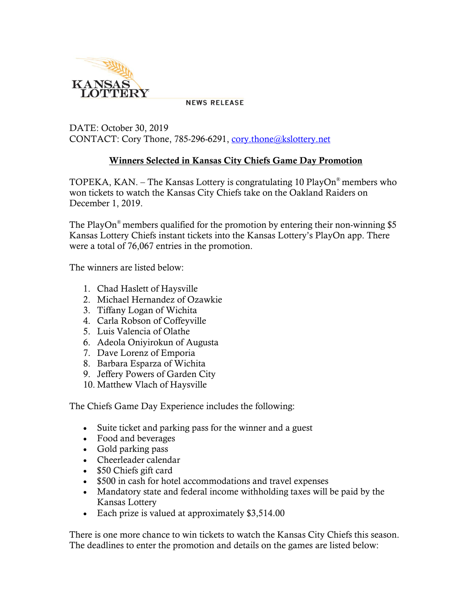

**NEWS RELEASE** 

DATE: October 30, 2019 CONTACT: Cory Thone, 785-296-6291, [cory.thone@kslottery.net](mailto:cory.thone@kslottery.net)

## Winners Selected in Kansas City Chiefs Game Day Promotion

TOPEKA, KAN. – The Kansas Lottery is congratulating 10 PlayOn® members who won tickets to watch the Kansas City Chiefs take on the Oakland Raiders on December 1, 2019.

The PlayOn<sup>®</sup> members qualified for the promotion by entering their non-winning \$5 Kansas Lottery Chiefs instant tickets into the Kansas Lottery's PlayOn app. There were a total of 76,067 entries in the promotion.

The winners are listed below:

- 1. Chad Haslett of Haysville
- 2. Michael Hernandez of Ozawkie
- 3. Tiffany Logan of Wichita
- 4. Carla Robson of Coffeyville
- 5. Luis Valencia of Olathe
- 6. Adeola Oniyirokun of Augusta
- 7. Dave Lorenz of Emporia
- 8. Barbara Esparza of Wichita
- 9. Jeffery Powers of Garden City
- 10. Matthew Vlach of Haysville

The Chiefs Game Day Experience includes the following:

- Suite ticket and parking pass for the winner and a guest
- Food and beverages
- Gold parking pass
- Cheerleader calendar
- \$50 Chiefs gift card
- \$500 in cash for hotel accommodations and travel expenses
- Mandatory state and federal income withholding taxes will be paid by the Kansas Lottery
- Each prize is valued at approximately \$3,514.00

There is one more chance to win tickets to watch the Kansas City Chiefs this season. The deadlines to enter the promotion and details on the games are listed below: